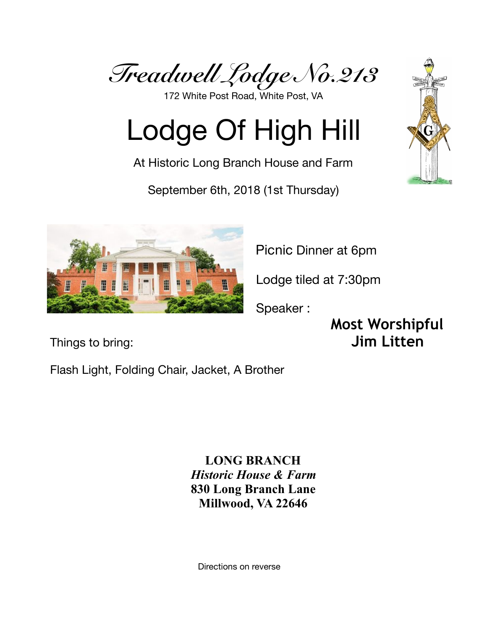*Treadwell Lodge No.213* 

172 White Post Road, White Post, VA

# Lodge Of High Hill

At Historic Long Branch House and Farm

September 6th, 2018 (1st Thursday)



Picnic Dinner at 6pm

Lodge tiled at 7:30pm

Speaker :

**Most Worshipful**  Things to bring: **Jim Litten** 

Flash Light, Folding Chair, Jacket, A Brother

**LONG BRANCH** *Historic House & Farm* **830 Long Branch Lane Millwood, VA 22646**

Directions on reverse

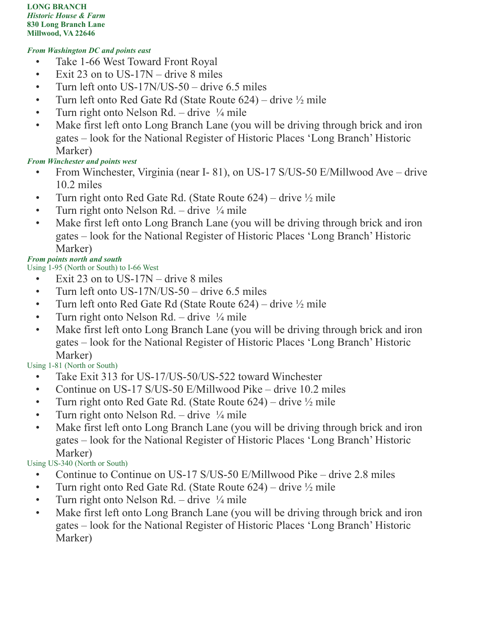**LONG BRANCH** *Historic House & Farm* **830 Long Branch Lane Millwood, VA 22646**

### *From Washington DC and points east*

- Take 1-66 West Toward Front Royal
- Exit 23 on to US-17N drive 8 miles
- Turn left onto US-17N/US-50 drive 6.5 miles
- Turn left onto Red Gate Rd (State Route  $624$ ) drive  $\frac{1}{2}$  mile
- Turn right onto Nelson Rd. drive  $\frac{1}{4}$  mile
- Make first left onto Long Branch Lane (you will be driving through brick and iron gates – look for the National Register of Historic Places 'Long Branch' Historic Marker)

## *From Winchester and points west*

- From Winchester, Virginia (near I-81), on US-17 S/US-50 E/Millwood Ave drive 10.2 miles
- Turn right onto Red Gate Rd. (State Route  $624$ ) drive  $\frac{1}{2}$  mile
- Turn right onto Nelson Rd. drive  $\frac{1}{4}$  mile
- Make first left onto Long Branch Lane (you will be driving through brick and iron gates – look for the National Register of Historic Places 'Long Branch' Historic Marker)

## *From points north and south*

Using 1-95 (North or South) to I-66 West

- Exit 23 on to US-17N drive 8 miles
- Turn left onto US-17N/US-50 drive 6.5 miles
- Turn left onto Red Gate Rd (State Route  $624$ ) drive  $\frac{1}{2}$  mile
- Turn right onto Nelson Rd. drive  $\frac{1}{4}$  mile
- Make first left onto Long Branch Lane (you will be driving through brick and iron gates – look for the National Register of Historic Places 'Long Branch' Historic Marker)

## Using 1-81 (North or South)

- Take Exit 313 for US-17/US-50/US-522 toward Winchester
- Continue on US-17 S/US-50 E/Millwood Pike drive 10.2 miles
- Turn right onto Red Gate Rd. (State Route  $624$ ) drive  $\frac{1}{2}$  mile
- Turn right onto Nelson Rd. drive  $\frac{1}{4}$  mile
- Make first left onto Long Branch Lane (you will be driving through brick and iron gates – look for the National Register of Historic Places 'Long Branch' Historic Marker)

Using US-340 (North or South)

- Continue to Continue on US-17 S/US-50 E/Millwood Pike drive 2.8 miles
- Turn right onto Red Gate Rd. (State Route  $624$ ) drive  $\frac{1}{2}$  mile
- Turn right onto Nelson Rd. drive  $\frac{1}{4}$  mile
- Make first left onto Long Branch Lane (you will be driving through brick and iron gates – look for the National Register of Historic Places 'Long Branch' Historic Marker)